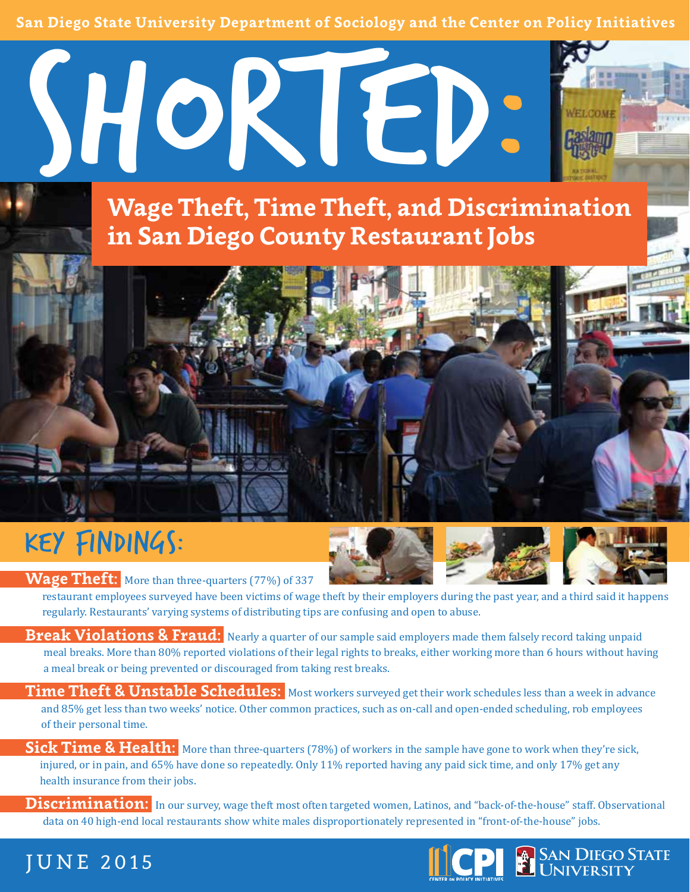**San Diego State University Department of Sociology and the Center on Policy Initiatives** 



**Wage Theft, Time Theft, and Discrimination in San Diego County Restaurant Jobs**

#### KEY FINDINGS:





**Wage Theft:** More than three-quarters (77%) of 337 restaurant employees surveyed have been victims of wage theft by their employers during the past year, and a third said it happens regularly. Restaurants' varying systems of distributing tips are confusing and open to abuse.

**Break Violations & Fraud:** Nearly a quarter of our sample said employers made them falsely record taking unpaid meal breaks. More than 80% reported violations of their legal rights to breaks, either working more than 6 hours without having a meal break or being prevented or discouraged from taking rest breaks.

**Time Theft & Unstable Schedules:** Most workers surveyed get their work schedules less than a week in advance and 85% get less than two weeks' notice. Other common practices, such as on-call and open-ended scheduling, rob employees of their personal time.

**Sick Time & Health:** More than three-quarters (78%) of workers in the sample have gone to work when they're sick, injured, or in pain, and 65% have done so repeatedly. Only 11% reported having any paid sick time, and only 17% get any health insurance from their jobs.

**Discrimination:** In our survey, wage theft most often targeted women, Latinos, and "back-of-the-house" staff. Observational data on 40 high-end local restaurants show white males disproportionately represented in "front-of-the-house" jobs.

#### JUNE 2015

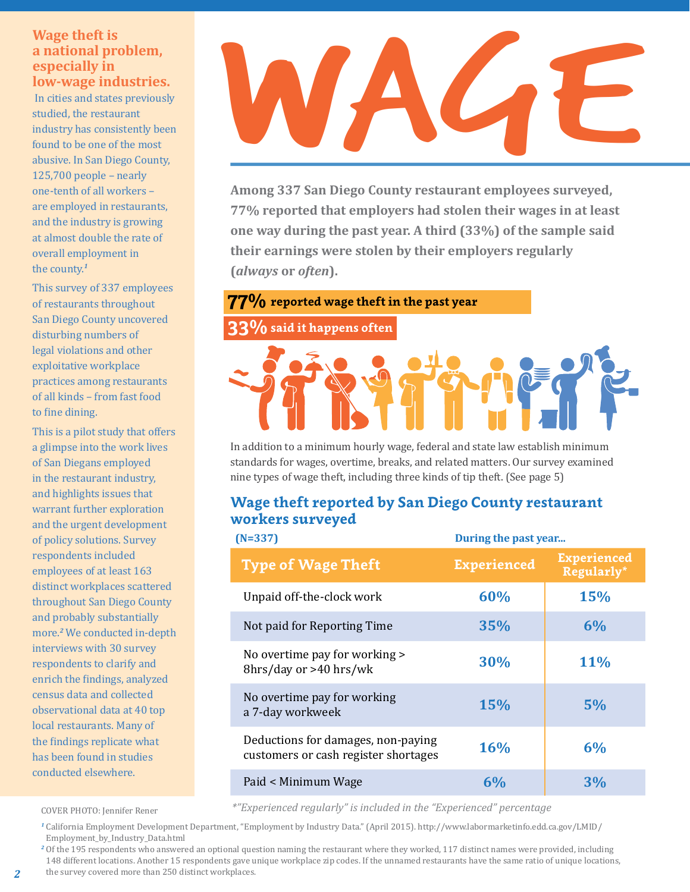#### **a national problem, especially in low-wage industries.**

 In cities and states previously studied, the restaurant industry has consistently been found to be one of the most abusive. In San Diego County, 125,700 people – nearly one-tenth of all workers – are employed in restaurants, and the industry is growing at almost double the rate of overall employment in the county.*<sup>1</sup>*

This survey of 337 employees of restaurants throughout San Diego County uncovered disturbing numbers of legal violations and other exploitative workplace practices among restaurants of all kinds – from fast food to fine dining.

This is a pilot study that offers a glimpse into the work lives of San Diegans employed in the restaurant industry, and highlights issues that warrant further exploration and the urgent development of policy solutions. Survey respondents included employees of at least 163 distinct workplaces scattered throughout San Diego County and probably substantially more.*<sup>2</sup>* We conducted in-depth interviews with 30 survey respondents to clarify and enrich the findings, analyzed census data and collected observational data at 40 top local restaurants. Many of the findings replicate what has been found in studies conducted elsewhere.

# Wage theft is<br>
a national problem,<br>
sepecially in<br>
low-wage industries.<br>
In cities and states previously<br>
studied, the restaurant<br>
fidustry has consistently been<br>
found to be one of the most<br>
25.700 people – nearly<br>
25.700

**Among 337 San Diego County restaurant employees surveyed, 77% reported that employers had stolen their wages in at least one way during the past year. A third (33%) of the sample said their earnings were stolen by their employers regularly (***always* **or** *often***).**

#### **77% reported wage theft in the past year**

#### **33%** said it happens often

In addition to a minimum hourly wage, federal and state law establish minimum standards for wages, overtime, breaks, and related matters. Our survey examined nine types of wage theft, including three kinds of tip theft. (See page 5)

#### **Wage theft reported by San Diego County restaurant workers surveyed**

| $(N=337)$                                                                  | During the past year |                                  |  |
|----------------------------------------------------------------------------|----------------------|----------------------------------|--|
| <b>Type of Wage Theft</b>                                                  | <b>Experienced</b>   | <b>Experienced</b><br>Regularly* |  |
| Unpaid off-the-clock work                                                  | 60%                  | <b>15%</b>                       |  |
| Not paid for Reporting Time                                                | 35%                  | 6%                               |  |
| No overtime pay for working ><br>8hrs/day or >40 hrs/wk                    | 30%                  | <b>11%</b>                       |  |
| No overtime pay for working<br>a 7-day workweek                            | <b>15%</b>           | 5%                               |  |
| Deductions for damages, non-paying<br>customers or cash register shortages | 16%                  | 6%                               |  |
| Paid < Minimum Wage                                                        | 6%                   | 3%                               |  |

COVER PHOTO: Jennifer Rener *\*"Experienced regularly" is included in the "Experienced" percentage*

*<sup>1</sup>* California Employment Development Department, "Employment by Industry Data." (April 2015). http://www.labormarketinfo.edd.ca.gov/LMID/ Employment\_by\_Industry\_Data.html

*<sup>2</sup>* Of the 195 respondents who answered an optional question naming the restaurant where they worked, 117 distinct names were provided, including 148 different locations. Another 15 respondents gave unique workplace zip codes. If the unnamed restaurants have the same ratio of unique locations,

the survey covered more than 250 distinct workplaces.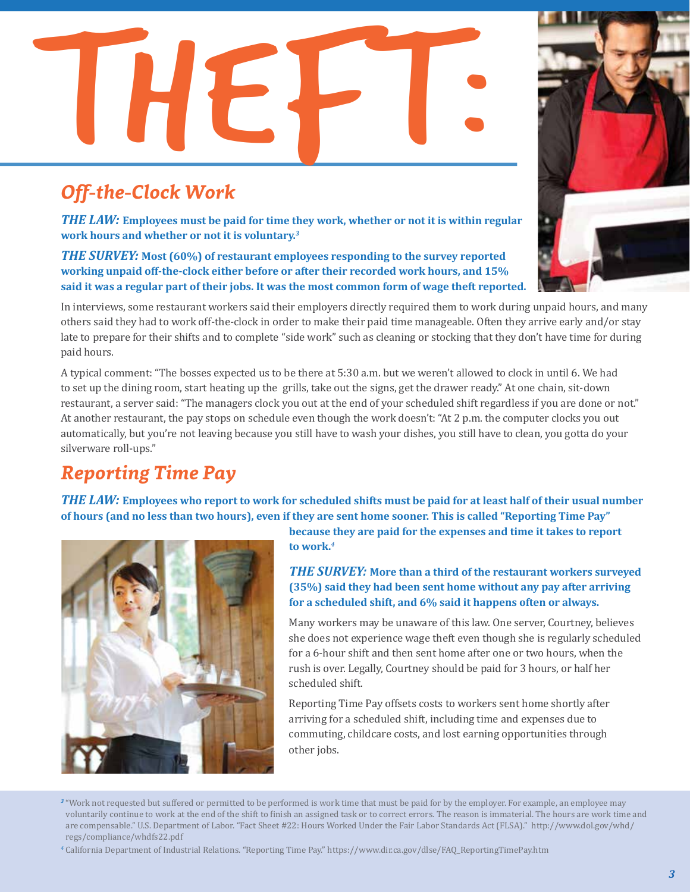# Off-the-Clock Work

#### *Off-the-Clock Work*

*THE LAW:* **Employees must be paid for time they work, whether or not it is within regular work hours and whether or not it is voluntary.***<sup>3</sup>*

*THE SURVEY:* **Most (60%) of restaurant employees responding to the survey reported working unpaid off-the-clock either before or after their recorded work hours, and 15% said it was a regular part of their jobs. It was the most common form of wage theft reported.**

In interviews, some restaurant workers said their employers directly required them to work during unpaid hours, and many others said they had to work off-the-clock in order to make their paid time manageable. Often they arrive early and/or stay late to prepare for their shifts and to complete "side work" such as cleaning or stocking that they don't have time for during paid hours.

A typical comment: "The bosses expected us to be there at 5:30 a.m. but we weren't allowed to clock in until 6. We had to set up the dining room, start heating up the grills, take out the signs, get the drawer ready." At one chain, sit-down restaurant, a server said: "The managers clock you out at the end of your scheduled shift regardless if you are done or not." At another restaurant, the pay stops on schedule even though the work doesn't: "At 2 p.m. the computer clocks you out automatically, but you're not leaving because you still have to wash your dishes, you still have to clean, you gotta do your silverware roll-ups."

#### *Reporting Time Pay*

*THE LAW:* **Employees who report to work for scheduled shifts must be paid for at least half of their usual number of hours (and no less than two hours), even if they are sent home sooner. This is called "Reporting Time Pay"** 



**because they are paid for the expenses and time it takes to report to work.***<sup>4</sup>*

*THE SURVEY:* **More than a third of the restaurant workers surveyed (35%) said they had been sent home without any pay after arriving for a scheduled shift, and 6% said it happens often or always.** 

Many workers may be unaware of this law. One server, Courtney, believes she does not experience wage theft even though she is regularly scheduled for a 6-hour shift and then sent home after one or two hours, when the rush is over. Legally, Courtney should be paid for 3 hours, or half her scheduled shift.

Reporting Time Pay offsets costs to workers sent home shortly after arriving for a scheduled shift, including time and expenses due to commuting, childcare costs, and lost earning opportunities through other jobs.

*<sup>4</sup>* California Department of Industrial Relations. "Reporting Time Pay." https://www.dir.ca.gov/dlse/FAQ\_ReportingTimePay.htm



*<sup>3</sup>* "Work not requested but suffered or permitted to be performed is work time that must be paid for by the employer. For example, an employee may voluntarily continue to work at the end of the shift to finish an assigned task or to correct errors. The reason is immaterial. The hours are work time and are compensable." U.S. Department of Labor. "Fact Sheet #22: Hours Worked Under the Fair Labor Standards Act (FLSA)." http://www.dol.gov/whd/ regs/compliance/whdfs22.pdf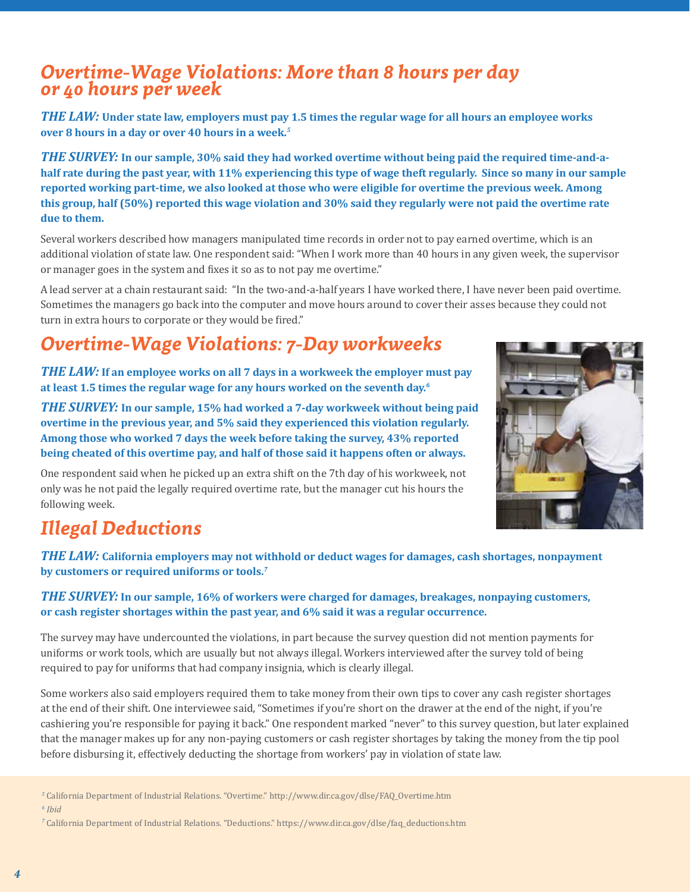#### *Overtime-Wage Violations: More than 8 hours per day or 40 hours per week*

*THE LAW:* **Under state law, employers must pay 1.5 times the regular wage for all hours an employee works over 8 hours in a day or over 40 hours in a week.***<sup>5</sup>*

*THE SURVEY:* **In our sample, 30% said they had worked overtime without being paid the required time-and-ahalf rate during the past year, with 11% experiencing this type of wage theft regularly. Since so many in our sample reported working part-time, we also looked at those who were eligible for overtime the previous week. Among this group, half (50%) reported this wage violation and 30% said they regularly were not paid the overtime rate due to them.** 

Several workers described how managers manipulated time records in order not to pay earned overtime, which is an additional violation of state law. One respondent said: "When I work more than 40 hours in any given week, the supervisor or manager goes in the system and fixes it so as to not pay me overtime."

A lead server at a chain restaurant said: "In the two-and-a-half years I have worked there, I have never been paid overtime. Sometimes the managers go back into the computer and move hours around to cover their asses because they could not turn in extra hours to corporate or they would be fired."

#### *Overtime-Wage Violations: 7-Day workweeks*

*THE LAW:* **If an employee works on all 7 days in a workweek the employer must pay at least 1.5 times the regular wage for any hours worked on the seventh day.***<sup>6</sup>*

*THE SURVEY:* **In our sample, 15% had worked a 7-day workweek without being paid overtime in the previous year, and 5% said they experienced this violation regularly. Among those who worked 7 days the week before taking the survey, 43% reported being cheated of this overtime pay, and half of those said it happens often or always.** 

One respondent said when he picked up an extra shift on the 7th day of his workweek, not only was he not paid the legally required overtime rate, but the manager cut his hours the following week.



#### *Illegal Deductions*

*THE LAW:* **California employers may not withhold or deduct wages for damages, cash shortages, nonpayment by customers or required uniforms or tools.***<sup>7</sup>*

#### *THE SURVEY:* **In our sample, 16% of workers were charged for damages, breakages, nonpaying customers, or cash register shortages within the past year, and 6% said it was a regular occurrence.**

The survey may have undercounted the violations, in part because the survey question did not mention payments for uniforms or work tools, which are usually but not always illegal. Workers interviewed after the survey told of being required to pay for uniforms that had company insignia, which is clearly illegal.

Some workers also said employers required them to take money from their own tips to cover any cash register shortages at the end of their shift. One interviewee said, "Sometimes if you're short on the drawer at the end of the night, if you're cashiering you're responsible for paying it back." One respondent marked "never" to this survey question, but later explained that the manager makes up for any non-paying customers or cash register shortages by taking the money from the tip pool before disbursing it, effectively deducting the shortage from workers' pay in violation of state law.

*<sup>5</sup>* California Department of Industrial Relations. "Overtime." http://www.dir.ca.gov/dlse/FAQ\_Overtime.htm

*<sup>6</sup> Ibid*

*<sup>7</sup>* California Department of Industrial Relations. "Deductions." https://www.dir.ca.gov/dlse/faq\_deductions.htm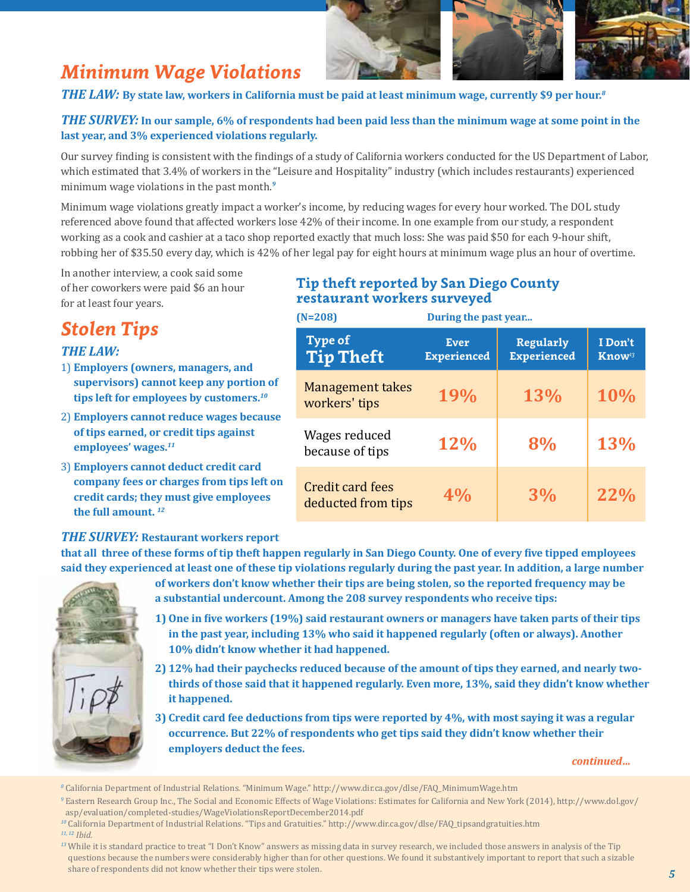#### *Minimum Wage Violations*



#### *THE LAW:* **By state law, workers in California must be paid at least minimum wage, currently \$9 per hour.***<sup>8</sup>*

#### *THE SURVEY:* **In our sample, 6% of respondents had been paid less than the minimum wage at some point in the last year, and 3% experienced violations regularly.**

Our survey finding is consistent with the findings of a study of California workers conducted for the US Department of Labor, which estimated that 3.4% of workers in the "Leisure and Hospitality" industry (which includes restaurants) experienced minimum wage violations in the past month.*<sup>9</sup>*

Minimum wage violations greatly impact a worker's income, by reducing wages for every hour worked. The DOL study referenced above found that affected workers lose 42% of their income. In one example from our study, a respondent working as a cook and cashier at a taco shop reported exactly that much loss: She was paid \$50 for each 9-hour shift, robbing her of \$35.50 every day, which is 42% of her legal pay for eight hours at minimum wage plus an hour of overtime.

In another interview, a cook said some of her coworkers were paid \$6 an hour for at least four years.

#### *Stolen Tips*

#### *THE LAW:*

- 1) **Employers (owners, managers, and supervisors) cannot keep any portion of tips left for employees by customers.***<sup>10</sup>*
- 2) **Employers cannot reduce wages because of tips earned, or credit tips against employees' wages.***<sup>11</sup>*
- 3) **Employers cannot deduct credit card company fees or charges from tips left on credit cards; they must give employees the full amount.** *<sup>12</sup>*

#### **Tip theft reported by San Diego County restaurant workers surveyed**

 **Type of Tip Theft Ever Experienced Regularly Experienced I Don't Know***<sup>13</sup>* Management takes workers' tips **19% 13% 10%** Wages reduced because of tips **12% 8% 13%**  Credit card fees deducted from tips **4% 3% 22% (N=208) During the past year...**

#### *THE SURVEY:* **Restaurant workers report**

**that all three of these forms of tip theft happen regularly in San Diego County. One of every five tipped employees said they experienced at least one of these tip violations regularly during the past year. In addition, a large number** 



- **of workers don't know whether their tips are being stolen, so the reported frequency may be a substantial undercount. Among the 208 survey respondents who receive tips:**
- **1) One in five workers (19%) said restaurant owners or managers have taken parts of their tips in the past year, including 13% who said it happened regularly (often or always). Another 10% didn't know whether it had happened.**
- **2) 12% had their paychecks reduced because of the amount of tips they earned, and nearly twothirds of those said that it happened regularly. Even more, 13%, said they didn't know whether it happened.**
- **3) Credit card fee deductions from tips were reported by 4%, with most saying it was a regular occurrence. But 22% of respondents who get tips said they didn't know whether their employers deduct the fees.**

*continued…*

*<sup>8</sup>* California Department of Industrial Relations. "Minimum Wage." http://www.dir.ca.gov/dlse/FAQ\_MinimumWage.htm

*<sup>9</sup>* Eastern Research Group Inc., The Social and Economic Effects of Wage Violations: Estimates for California and New York (2014), http://www.dol.gov/ asp/evaluation/completed-studies/WageViolationsReportDecember2014.pdf

*<sup>10</sup>* California Department of Industrial Relations. "Tips and Gratuities." http://www.dir.ca.gov/dlse/FAQ\_tipsandgratuities.htm *11, 12 Ibid.*

<sup>&</sup>lt;sup>13</sup> While it is standard practice to treat "I Don't Know" answers as missing data in survey research, we included those answers in analysis of the Tip questions because the numbers were considerably higher than for other questions. We found it substantively important to report that such a sizable share of respondents did not know whether their tips were stolen.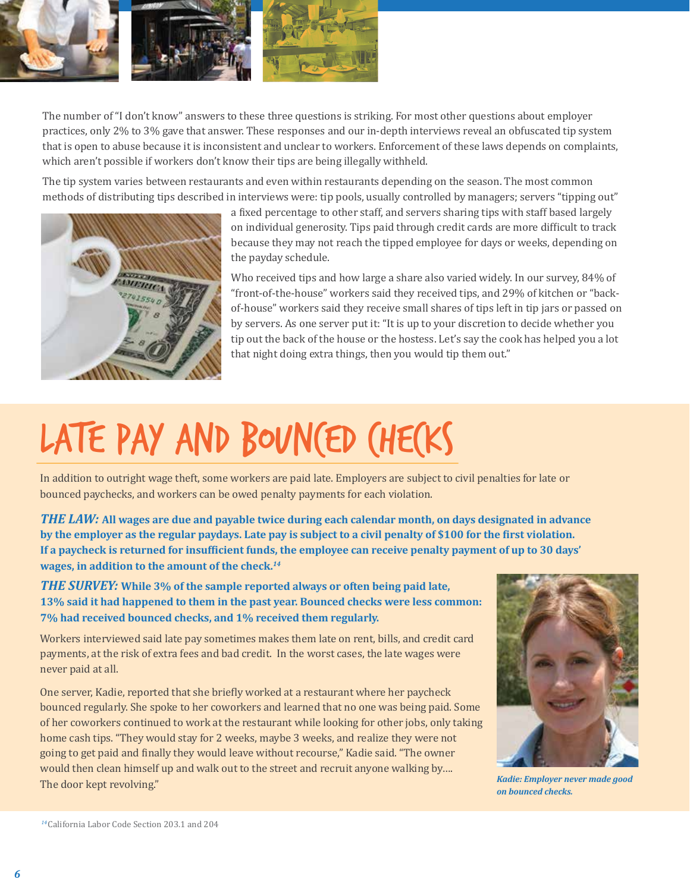

The number of "I don't know" answers to these three questions is striking. For most other questions about employer practices, only 2% to 3% gave that answer. These responses and our in-depth interviews reveal an obfuscated tip system that is open to abuse because it is inconsistent and unclear to workers. Enforcement of these laws depends on complaints, which aren't possible if workers don't know their tips are being illegally withheld.

The tip system varies between restaurants and even within restaurants depending on the season. The most common methods of distributing tips described in interviews were: tip pools, usually controlled by managers; servers "tipping out"



a fixed percentage to other staff, and servers sharing tips with staff based largely on individual generosity. Tips paid through credit cards are more difficult to track because they may not reach the tipped employee for days or weeks, depending on the payday schedule.

Who received tips and how large a share also varied widely. In our survey, 84% of "front-of-the-house" workers said they received tips, and 29% of kitchen or "backof-house" workers said they receive small shares of tips left in tip jars or passed on by servers. As one server put it: "It is up to your discretion to decide whether you tip out the back of the house or the hostess. Let's say the cook has helped you a lot that night doing extra things, then you would tip them out."

### LATE PAY AND BOUNCED (HECKS

In addition to outright wage theft, some workers are paid late. Employers are subject to civil penalties for late or bounced paychecks, and workers can be owed penalty payments for each violation.

*THE LAW:* **All wages are due and payable twice during each calendar month, on days designated in advance by the employer as the regular paydays. Late pay is subject to a civil penalty of \$100 for the first violation. If a paycheck is returned for insufficient funds, the employee can receive penalty payment of up to 30 days' wages, in addition to the amount of the check.***<sup>14</sup>*

*THE SURVEY:* **While 3% of the sample reported always or often being paid late, 13% said it had happened to them in the past year. Bounced checks were less common: 7% had received bounced checks, and 1% received them regularly.** 

Workers interviewed said late pay sometimes makes them late on rent, bills, and credit card payments, at the risk of extra fees and bad credit. In the worst cases, the late wages were never paid at all.

One server, Kadie, reported that she briefly worked at a restaurant where her paycheck bounced regularly. She spoke to her coworkers and learned that no one was being paid. Some of her coworkers continued to work at the restaurant while looking for other jobs, only taking home cash tips. "They would stay for 2 weeks, maybe 3 weeks, and realize they were not going to get paid and finally they would leave without recourse," Kadie said. "The owner would then clean himself up and walk out to the street and recruit anyone walking by…. The door kept revolving."



*Kadie: Employer never made good on bounced checks.*

*<sup>14</sup>*California Labor Code Section 203.1 and 204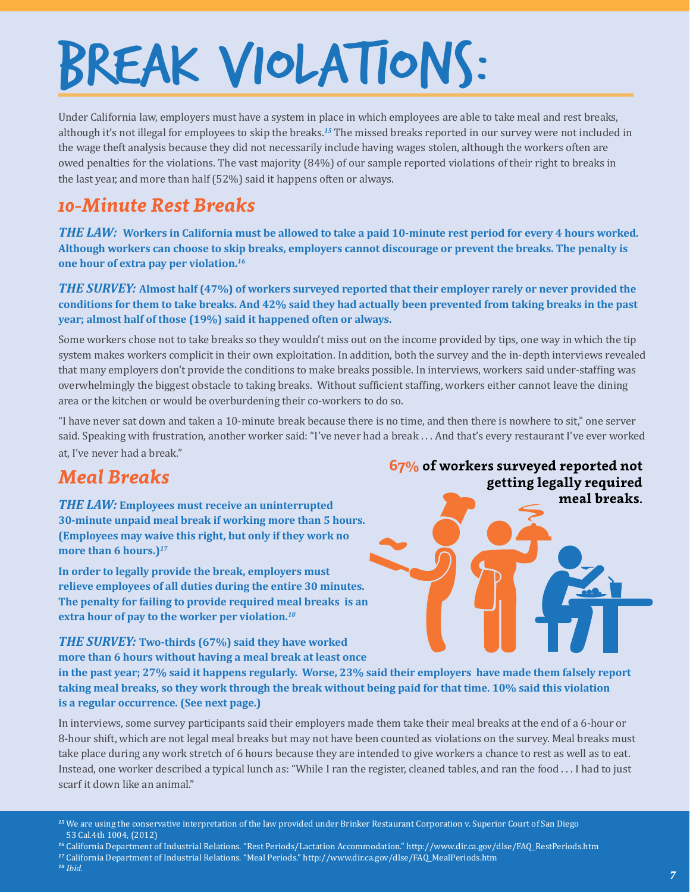## BREAK VIOLATIONS:

Under California law, employers must have a system in place in which employees are able to take meal and rest breaks, although it's not illegal for employees to skip the breaks.*<sup>15</sup>* The missed breaks reported in our survey were not included in the wage theft analysis because they did not necessarily include having wages stolen, although the workers often are owed penalties for the violations. The vast majority (84%) of our sample reported violations of their right to breaks in the last year, and more than half (52%) said it happens often or always.

#### *10-Minute Rest Breaks*

*THE LAW:* **Workers in California must be allowed to take a paid 10-minute rest period for every 4 hours worked. Although workers can choose to skip breaks, employers cannot discourage or prevent the breaks. The penalty is one hour of extra pay per violation.***<sup>16</sup>*

*THE SURVEY:* **Almost half (47%) of workers surveyed reported that their employer rarely or never provided the conditions for them to take breaks. And 42% said they had actually been prevented from taking breaks in the past year; almost half of those (19%) said it happened often or always.** 

Some workers chose not to take breaks so they wouldn't miss out on the income provided by tips, one way in which the tip system makes workers complicit in their own exploitation. In addition, both the survey and the in-depth interviews revealed that many employers don't provide the conditions to make breaks possible. In interviews, workers said under-staffing was overwhelmingly the biggest obstacle to taking breaks. Without sufficient staffing, workers either cannot leave the dining area or the kitchen or would be overburdening their co-workers to do so.

"I have never sat down and taken a 10-minute break because there is no time, and then there is nowhere to sit," one server said. Speaking with frustration, another worker said: "I've never had a break . . . And that's every restaurant I've ever worked at, I've never had a break."

#### *Meal Breaks*

*THE LAW:* **Employees must receive an uninterrupted 30-minute unpaid meal break if working more than 5 hours. (Employees may waive this right, but only if they work no more than 6 hours.)***<sup>17</sup>*

**In order to legally provide the break, employers must relieve employees of all duties during the entire 30 minutes. The penalty for failing to provide required meal breaks is an extra hour of pay to the worker per violation.***<sup>18</sup>*

*THE SURVEY:* **Two-thirds (67%) said they have worked** 

**67% of workers surveyed reported not getting legally required meal breaks.**

**more than 6 hours without having a meal break at least once in the past year; 27% said it happens regularly. Worse, 23% said their employers have made them falsely report taking meal breaks, so they work through the break without being paid for that time. 10% said this violation is a regular occurrence. (See next page.)** 

In interviews, some survey participants said their employers made them take their meal breaks at the end of a 6-hour or 8-hour shift, which are not legal meal breaks but may not have been counted as violations on the survey. Meal breaks must take place during any work stretch of 6 hours because they are intended to give workers a chance to rest as well as to eat. Instead, one worker described a typical lunch as: "While I ran the register, cleaned tables, and ran the food . . . I had to just scarf it down like an animal."

- *<sup>16</sup>* California Department of Industrial Relations. "Rest Periods/Lactation Accommodation." http://www.dir.ca.gov/dlse/FAQ\_RestPeriods.htm
- *<sup>17</sup>* California Department of Industrial Relations. "Meal Periods." http://www.dir.ca.gov/dlse/FAQ\_MealPeriods.htm
- *<sup>18</sup> Ibid.*

*<sup>15</sup>* We are using the conservative interpretation of the law provided under Brinker Restaurant Corporation v. Superior Court of San Diego 53 Cal.4th 1004, (2012)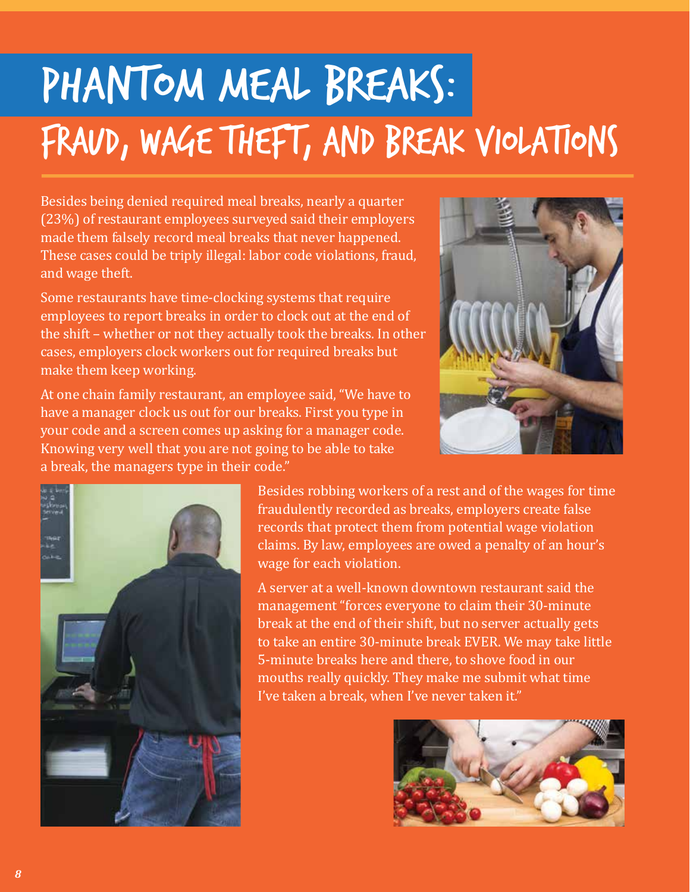### Phantom Meal Breaks: Fraud, Wage Theft, and Break Violations

Besides being denied required meal breaks, nearly a quarter (23%) of restaurant employees surveyed said their employers made them falsely record meal breaks that never happened. These cases could be triply illegal: labor code violations, fraud, and wage theft.

Some restaurants have time-clocking systems that require employees to report breaks in order to clock out at the end of the shift – whether or not they actually took the breaks. In other cases, employers clock workers out for required breaks but make them keep working.

At one chain family restaurant, an employee said, "We have to have a manager clock us out for our breaks. First you type in your code and a screen comes up asking for a manager code. Knowing very well that you are not going to be able to take a break, the managers type in their code."





Besides robbing workers of a rest and of the wages for time fraudulently recorded as breaks, employers create false records that protect them from potential wage violation claims. By law, employees are owed a penalty of an hour's wage for each violation.

A server at a well-known downtown restaurant said the management "forces everyone to claim their 30-minute break at the end of their shift, but no server actually gets to take an entire 30-minute break EVER. We may take little 5-minute breaks here and there, to shove food in our mouths really quickly. They make me submit what time I've taken a break, when I've never taken it."

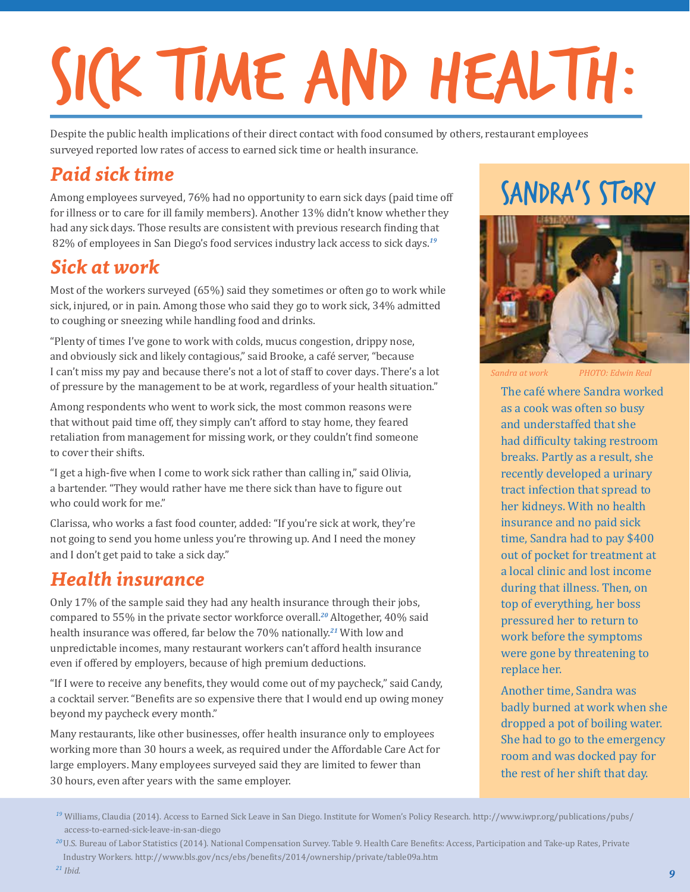## SICK TIME AND HEALTH:

Despite the public health implications of their direct contact with food consumed by others, restaurant employees surveyed reported low rates of access to earned sick time or health insurance.

#### *Paid sick time*

Among employees surveyed, 76% had no opportunity to earn sick days (paid time off for illness or to care for ill family members). Another 13% didn't know whether they had any sick days. Those results are consistent with previous research finding that 82% of employees in San Diego's food services industry lack access to sick days.*<sup>19</sup>*

#### *Sick at work*

Most of the workers surveyed (65%) said they sometimes or often go to work while sick, injured, or in pain. Among those who said they go to work sick, 34% admitted to coughing or sneezing while handling food and drinks.

"Plenty of times I've gone to work with colds, mucus congestion, drippy nose, and obviously sick and likely contagious," said Brooke, a café server, "because I can't miss my pay and because there's not a lot of staff to cover days. There's a lot of pressure by the management to be at work, regardless of your health situation."

Among respondents who went to work sick, the most common reasons were that without paid time off, they simply can't afford to stay home, they feared retaliation from management for missing work, or they couldn't find someone to cover their shifts.

"I get a high-five when I come to work sick rather than calling in," said Olivia, a bartender. "They would rather have me there sick than have to figure out who could work for me."

Clarissa, who works a fast food counter, added: "If you're sick at work, they're not going to send you home unless you're throwing up. And I need the money and I don't get paid to take a sick day."

#### *Health insurance*

Only 17% of the sample said they had any health insurance through their jobs, compared to 55% in the private sector workforce overall.*<sup>20</sup>* Altogether, 40% said health insurance was offered, far below the 70% nationally.*<sup>21</sup>* With low and unpredictable incomes, many restaurant workers can't afford health insurance even if offered by employers, because of high premium deductions.

"If I were to receive any benefits, they would come out of my paycheck," said Candy, a cocktail server. "Benefits are so expensive there that I would end up owing money beyond my paycheck every month."

Many restaurants, like other businesses, offer health insurance only to employees working more than 30 hours a week, as required under the Affordable Care Act for large employers. Many employees surveyed said they are limited to fewer than 30 hours, even after years with the same employer.

#### SANDRA'S STORY



*Sandra at work PHOTO: Edwin Real*

The café where Sandra worked as a cook was often so busy and understaffed that she had difficulty taking restroom breaks. Partly as a result, she recently developed a urinary tract infection that spread to her kidneys. With no health insurance and no paid sick time, Sandra had to pay \$400 out of pocket for treatment at a local clinic and lost income during that illness. Then, on top of everything, her boss pressured her to return to work before the symptoms were gone by threatening to replace her.

Another time, Sandra was badly burned at work when she dropped a pot of boiling water. She had to go to the emergency room and was docked pay for the rest of her shift that day.

*<sup>19</sup>* Williams, Claudia (2014). Access to Earned Sick Leave in San Diego. Institute for Women's Policy Research. http://www.iwpr.org/publications/pubs/ access-to-earned-sick-leave-in-san-diego

*<sup>20</sup>*U.S. Bureau of Labor Statistics (2014). National Compensation Survey. Table 9. Health Care Benefits: Access, Participation and Take-up Rates, Private Industry Workers. http://www.bls.gov/ncs/ebs/benefits/2014/ownership/private/table09a.htm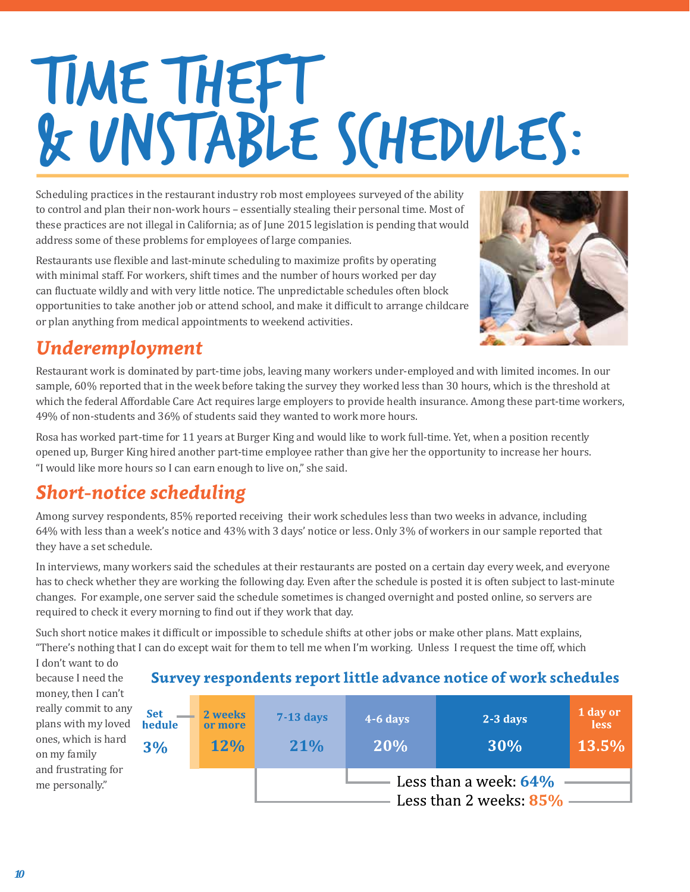## TIME THEFT & UNSTABLE SCHEDULES:

Scheduling practices in the restaurant industry rob most employees surveyed of the ability to control and plan their non-work hours – essentially stealing their personal time. Most of these practices are not illegal in California; as of June 2015 legislation is pending that would address some of these problems for employees of large companies.

Restaurants use flexible and last-minute scheduling to maximize profits by operating with minimal staff. For workers, shift times and the number of hours worked per day can fluctuate wildly and with very little notice. The unpredictable schedules often block opportunities to take another job or attend school, and make it difficult to arrange childcare or plan anything from medical appointments to weekend activities.



#### *Underemployment*

Restaurant work is dominated by part-time jobs, leaving many workers under-employed and with limited incomes. In our sample, 60% reported that in the week before taking the survey they worked less than 30 hours, which is the threshold at which the federal Affordable Care Act requires large employers to provide health insurance. Among these part-time workers, 49% of non-students and 36% of students said they wanted to work more hours.

Rosa has worked part-time for 11 years at Burger King and would like to work full-time. Yet, when a position recently opened up, Burger King hired another part-time employee rather than give her the opportunity to increase her hours. "I would like more hours so I can earn enough to live on," she said.

#### *Short-notice scheduling*

Among survey respondents, 85% reported receiving their work schedules less than two weeks in advance, including 64% with less than a week's notice and 43% with 3 days' notice or less. Only 3% of workers in our sample reported that they have a set schedule.

In interviews, many workers said the schedules at their restaurants are posted on a certain day every week, and everyone has to check whether they are working the following day. Even after the schedule is posted it is often subject to last-minute changes. For example, one server said the schedule sometimes is changed overnight and posted online, so servers are required to check it every morning to find out if they work that day.

Such short notice makes it difficult or impossible to schedule shifts at other jobs or make other plans. Matt explains, "There's nothing that I can do except wait for them to tell me when I'm working. Unless I request the time off, which

I don't want to do because I need the money, then I can't really commit to any plans with my loved ones, which is hard on my family and frustrating for me personally."

#### **Survey respondents report little advance notice of work schedules**

| <b>Set</b><br>hedule<br>3% | 2 weeks<br>or more<br><b>12%</b> | $7-13$ days<br>21%     | $4-6$ days<br>20% | $2-3$ days<br>30% | 1 day or<br><b>less</b><br>13.5% |  |
|----------------------------|----------------------------------|------------------------|-------------------|-------------------|----------------------------------|--|
| Less than a week: $64\%$   |                                  |                        |                   |                   |                                  |  |
|                            |                                  |                        |                   |                   |                                  |  |
|                            |                                  | Less than 2 weeks: 85% |                   |                   |                                  |  |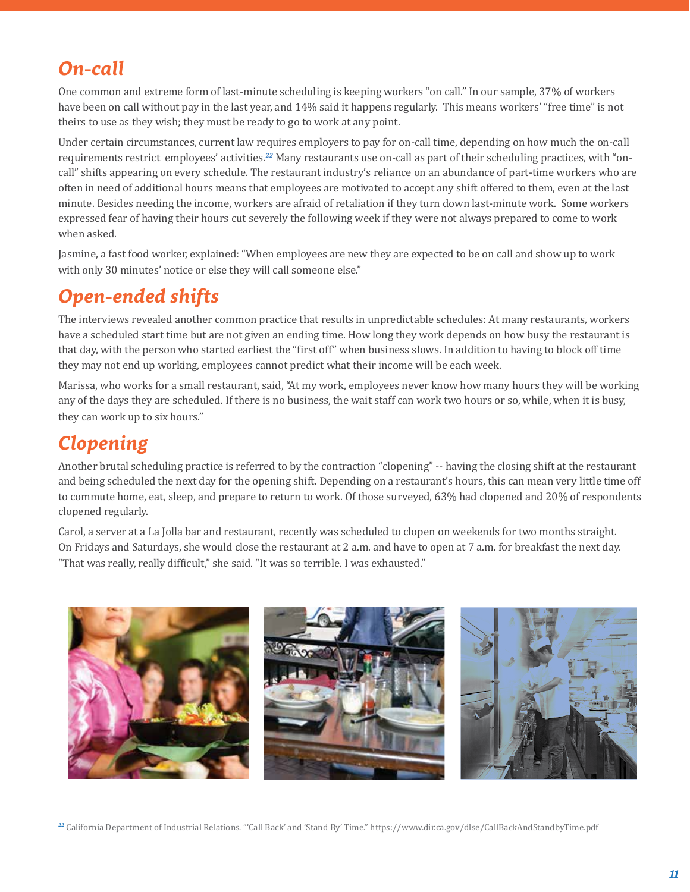#### *On-call*

One common and extreme form of last-minute scheduling is keeping workers "on call." In our sample, 37% of workers have been on call without pay in the last year, and 14% said it happens regularly. This means workers' "free time" is not theirs to use as they wish; they must be ready to go to work at any point.

Under certain circumstances, current law requires employers to pay for on-call time, depending on how much the on-call requirements restrict employees' activities.*<sup>22</sup>* Many restaurants use on-call as part of their scheduling practices, with "oncall" shifts appearing on every schedule. The restaurant industry's reliance on an abundance of part-time workers who are often in need of additional hours means that employees are motivated to accept any shift offered to them, even at the last minute. Besides needing the income, workers are afraid of retaliation if they turn down last-minute work. Some workers expressed fear of having their hours cut severely the following week if they were not always prepared to come to work when asked.

Jasmine, a fast food worker, explained: "When employees are new they are expected to be on call and show up to work with only 30 minutes' notice or else they will call someone else."

#### *Open-ended shifts*

The interviews revealed another common practice that results in unpredictable schedules: At many restaurants, workers have a scheduled start time but are not given an ending time. How long they work depends on how busy the restaurant is that day, with the person who started earliest the "first off" when business slows. In addition to having to block off time they may not end up working, employees cannot predict what their income will be each week.

Marissa, who works for a small restaurant, said, "At my work, employees never know how many hours they will be working any of the days they are scheduled. If there is no business, the wait staff can work two hours or so, while, when it is busy, they can work up to six hours."

#### *Clopening*

Another brutal scheduling practice is referred to by the contraction "clopening" -- having the closing shift at the restaurant and being scheduled the next day for the opening shift. Depending on a restaurant's hours, this can mean very little time off to commute home, eat, sleep, and prepare to return to work. Of those surveyed, 63% had clopened and 20% of respondents clopened regularly.

Carol, a server at a La Jolla bar and restaurant, recently was scheduled to clopen on weekends for two months straight. On Fridays and Saturdays, she would close the restaurant at 2 a.m. and have to open at 7 a.m. for breakfast the next day. "That was really, really difficult," she said. "It was so terrible. I was exhausted."



*<sup>22</sup>* California Department of Industrial Relations. "'Call Back' and 'Stand By' Time." https://www.dir.ca.gov/dlse/CallBackAndStandbyTime.pdf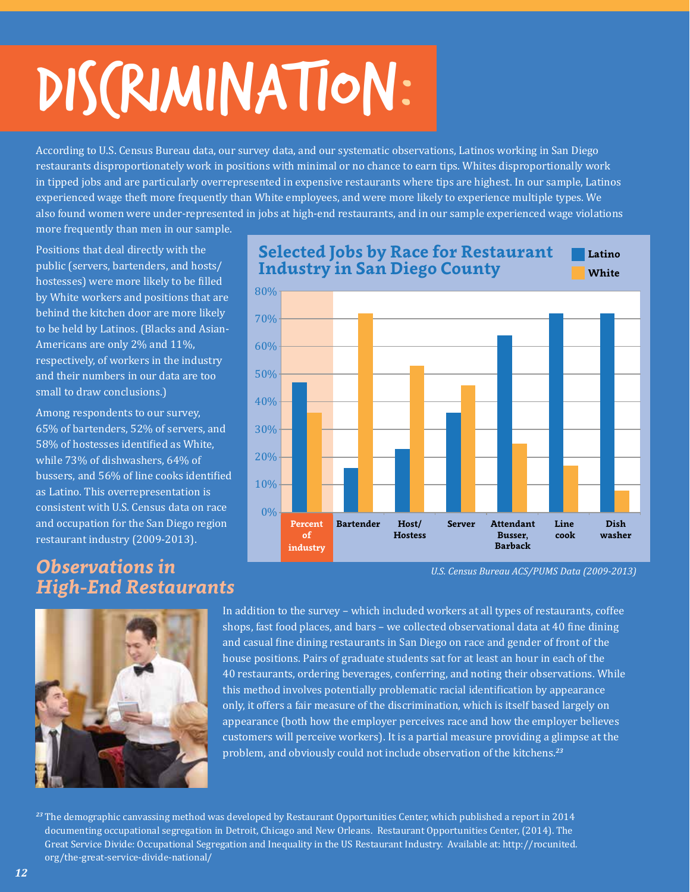## DISCRIMINATION:

According to U.S. Census Bureau data, our survey data, and our systematic observations, Latinos working in San Diego restaurants disproportionately work in positions with minimal or no chance to earn tips. Whites disproportionally work in tipped jobs and are particularly overrepresented in expensive restaurants where tips are highest. In our sample, Latinos experienced wage theft more frequently than White employees, and were more likely to experience multiple types. We also found women were under-represented in jobs at high-end restaurants, and in our sample experienced wage violations

more frequently than men in our sample.

Positions that deal directly with the public (servers, bartenders, and hosts/ hostesses) were more likely to be filled by White workers and positions that are behind the kitchen door are more likely to be held by Latinos. (Blacks and Asian-Americans are only 2% and 11%, respectively, of workers in the industry and their numbers in our data are too small to draw conclusions.)

Among respondents to our survey, 65% of bartenders, 52% of servers, and 58% of hostesses identified as White, while 73% of dishwashers, 64% of bussers, and 56% of line cooks identified as Latino. This overrepresentation is consistent with U.S. Census data on race and occupation for the San Diego region restaurant industry (2009-2013).

#### *Observations in High-End Restaurants*









*U.S. Census Bureau ACS/PUMS Data (2009-2013)*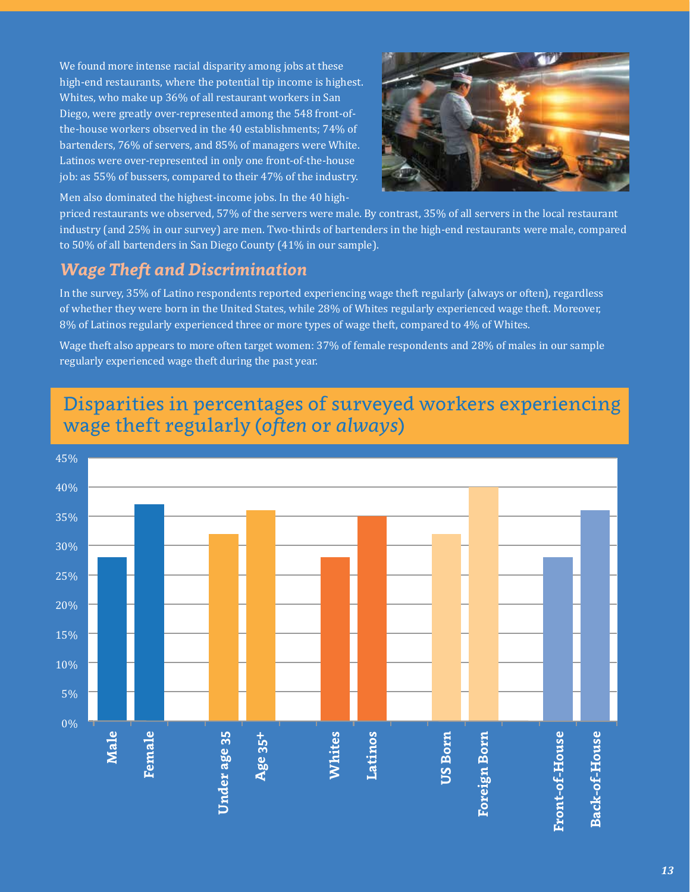We found more intense racial disparity among jobs at these high-end restaurants, where the potential tip income is highest. Whites, who make up 36% of all restaurant workers in San Diego, were greatly over-represented among the 548 front-ofthe-house workers observed in the 40 establishments; 74% of bartenders, 76% of servers, and 85% of managers were White. Latinos were over-represented in only one front-of-the-house job: as 55% of bussers, compared to their 47% of the industry.



Men also dominated the highest-income jobs. In the 40 high-

priced restaurants we observed, 57% of the servers were male. By contrast, 35% of all servers in the local restaurant industry (and 25% in our survey) are men. Two-thirds of bartenders in the high-end restaurants were male, compared to 50% of all bartenders in San Diego County (41% in our sample).

#### *Wage Theft and Discrimination*

In the survey, 35% of Latino respondents reported experiencing wage theft regularly (always or often), regardless of whether they were born in the United States, while 28% of Whites regularly experienced wage theft. Moreover, 8% of Latinos regularly experienced three or more types of wage theft, compared to 4% of Whites.

Wage theft also appears to more often target women: 37% of female respondents and 28% of males in our sample regularly experienced wage theft during the past year.

#### Disparities in percentages of surveyed workers experiencing wage theft regularly (*often* or *always*)

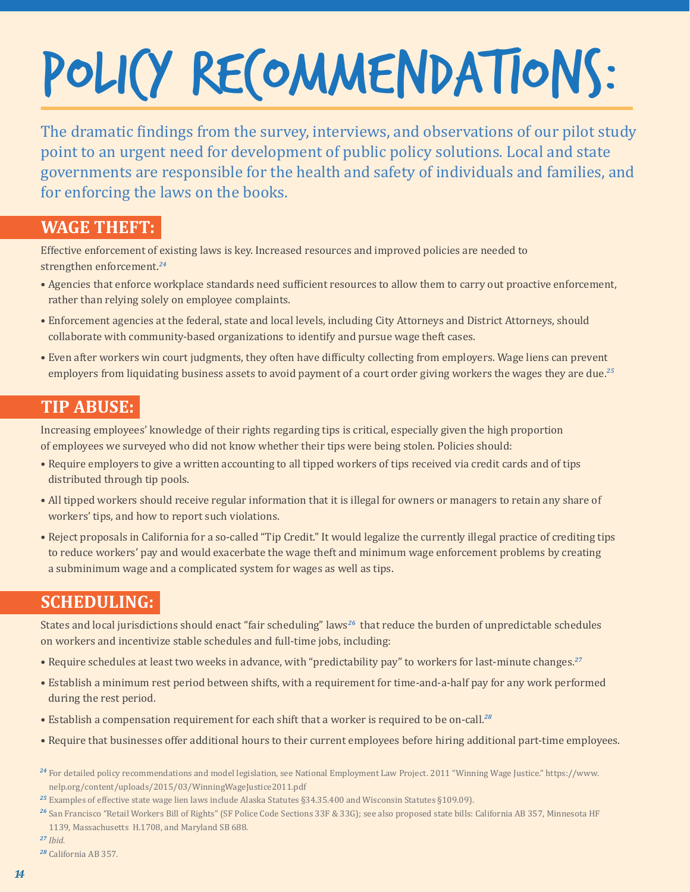## POLICY RECOMMENDATIONS:

The dramatic findings from the survey, interviews, and observations of our pilot study point to an urgent need for development of public policy solutions. Local and state governments are responsible for the health and safety of individuals and families, and for enforcing the laws on the books.

#### **WAGE THEFT:**

Effective enforcement of existing laws is key. Increased resources and improved policies are needed to strengthen enforcement.*<sup>24</sup>*

- Agencies that enforce workplace standards need sufficient resources to allow them to carry out proactive enforcement, rather than relying solely on employee complaints.
- Enforcement agencies at the federal, state and local levels, including City Attorneys and District Attorneys, should collaborate with community-based organizations to identify and pursue wage theft cases.
- Even after workers win court judgments, they often have difficulty collecting from employers. Wage liens can prevent employers from liquidating business assets to avoid payment of a court order giving workers the wages they are due.*<sup>25</sup>*

#### **TIP ABUSE:**

Increasing employees' knowledge of their rights regarding tips is critical, especially given the high proportion of employees we surveyed who did not know whether their tips were being stolen. Policies should:

- Require employers to give a written accounting to all tipped workers of tips received via credit cards and of tips distributed through tip pools.
- All tipped workers should receive regular information that it is illegal for owners or managers to retain any share of workers' tips, and how to report such violations.
- Reject proposals in California for a so-called "Tip Credit." It would legalize the currently illegal practice of crediting tips to reduce workers' pay and would exacerbate the wage theft and minimum wage enforcement problems by creating a subminimum wage and a complicated system for wages as well as tips.

#### **SCHEDULING:**

States and local jurisdictions should enact "fair scheduling" laws*<sup>26</sup>* that reduce the burden of unpredictable schedules on workers and incentivize stable schedules and full-time jobs, including:

- Require schedules at least two weeks in advance, with "predictability pay" to workers for last-minute changes.*<sup>27</sup>*
- Establish a minimum rest period between shifts, with a requirement for time-and-a-half pay for any work performed during the rest period.
- Establish a compensation requirement for each shift that a worker is required to be on-call.*<sup>28</sup>*
- Require that businesses offer additional hours to their current employees before hiring additional part-time employees.
- *<sup>24</sup>* For detailed policy recommendations and model legislation, see National Employment Law Project. 2011 "Winning Wage Justice." https://www. nelp.org/content/uploads/2015/03/WinningWageJustice2011.pdf
- *<sup>25</sup>* Examples of effective state wage lien laws include Alaska Statutes §34.35.400 and Wisconsin Statutes §109.09).
- *<sup>26</sup>* San Francisco "Retail Workers Bill of Rights" (SF Police Code Sections 33F & 33G); see also proposed state bills: California AB 357, Minnesota HF 1139, Massachusetts H.1708, and Maryland SB 688.

*<sup>27</sup> Ibid.*

*<sup>28</sup>* California AB 357.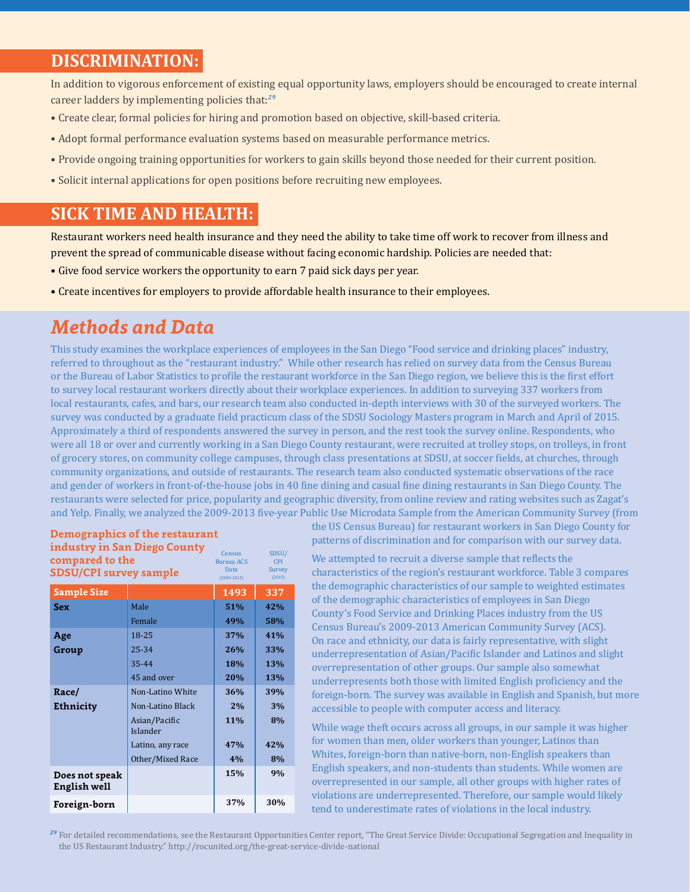#### **DISCRIMINATION:**

In addition to vigorous enforcement of existing equal opportunity laws, employers should be encouraged to create internal career ladders by implementing policies that:*<sup>29</sup>*

- Create clear, formal policies for hiring and promotion based on objective, skill-based criteria.
- Adopt formal performance evaluation systems based on measurable performance metrics.
- Provide ongoing training opportunities for workers to gain skills beyond those needed for their current position.
- Solicit internal applications for open positions before recruiting new employees.

#### **SICK TIME AND HEALTH:**

Restaurant workers need health insurance and they need the ability to take time off work to recover from illness and prevent the spread of communicable disease without facing economic hardship. Policies are needed that:

- Give food service workers the opportunity to earn 7 paid sick days per year.
- Create incentives for employers to provide affordable health insurance to their employees.

#### *Methods and Data*

This study examines the workplace experiences of employees in the San Diego "Food service and drinking places" industry, referred to throughout as the "restaurant industry." While other research has relied on survey data from the Census Bureau or the Bureau of Labor Statistics to profile the restaurant workforce in the San Diego region, we believe this is the first effort to survey local restaurant workers directly about their workplace experiences. In addition to surveying 337 workers from local restaurants, cafes, and bars, our research team also conducted in-depth interviews with 30 of the surveyed workers. The survey was conducted by a graduate field practicum class of the SDSU Sociology Masters program in March and April of 2015. Approximately a third of respondents answered the survey in person, and the rest took the survey online. Respondents, who were all 18 or over and currently working in a San Diego County restaurant, were recruited at trolley stops, on trolleys, in front of grocery stores, on community college campuses, through class presentations at SDSU, at soccer fields, at churches, through community organizations, and outside of restaurants. The research team also conducted systematic observations of the race and gender of workers in front-of-the-house jobs in 40 fine dining and casual fine dining restaurants in San Diego County. The restaurants were selected for price, popularity and geographic diversity, from online review and rating websites such as Zagat's and Yelp. Finally, we analyzed the 2009-2013 five-year Public Use Microdata Sample from the American Community Survey (from

| industry in San Diego County<br>compared to the<br>SDSU/CPI survey sample | Census<br><b>Bureau ACS</b><br>Data<br>$(2009 - 2013)$ | SDSU/<br><b>CPI</b><br>Survey<br>(2015) |     |
|---------------------------------------------------------------------------|--------------------------------------------------------|-----------------------------------------|-----|
| <b>Sample Size</b>                                                        |                                                        | 1493                                    | 337 |
| <b>Sex</b>                                                                | Male                                                   | 51%                                     | 42% |
|                                                                           | Female                                                 | 49%                                     | 58% |
| Age                                                                       | 18-25                                                  | 37%                                     | 41% |
| Group                                                                     | 25-34                                                  | 26%                                     | 33% |
|                                                                           | 35-44                                                  | <b>18%</b>                              | 13% |
|                                                                           | 45 and over                                            | 20%                                     | 13% |
| Race/                                                                     | Non-Latino White                                       | 36%                                     | 39% |
| <b>Ethnicity</b>                                                          | Non-Latino Black                                       | 2%                                      | 3%  |
|                                                                           | Asian/Pacific<br>Islander                              | 11%                                     | 8%  |
|                                                                           | Latino, any race                                       | 47%                                     | 42% |
|                                                                           | Other/Mixed Race                                       | 4%                                      | 8%  |
| Does not speak<br><b>English well</b>                                     |                                                        | 15%                                     | 9%  |
| Foreign-born                                                              |                                                        | 37%                                     | 30% |

**Demographics of the restaurant industry in San Diego County** 

the US Census Bureau) for restaurant workers in San Diego County for patterns of discrimination and for comparison with our survey data.

We attempted to recruit a diverse sample that reflects the characteristics of the region's restaurant workforce. Table 3 compares the demographic characteristics of our sample to weighted estimates of the demographic characteristics of employees in San Diego County's Food Service and Drinking Places industry from the US Census Bureau's 2009-2013 American Community Survey (ACS). On race and ethnicity, our data is fairly representative, with slight underrepresentation of Asian/Pacific Islander and Latinos and slight overrepresentation of other groups. Our sample also somewhat underrepresents both those with limited English proficiency and the foreign-born. The survey was available in English and Spanish, but more accessible to people with computer access and literacy.

While wage theft occurs across all groups, in our sample it was higher for women than men, older workers than younger, Latinos than Whites, foreign-born than native-born, non-English speakers than English speakers, and non-students than students. While women are overrepresented in our sample, all other groups with higher rates of violations are underrepresented. Therefore, our sample would likely tend to underestimate rates of violations in the local industry.

*<sup>29</sup>* For detailed recommendations, see the Restaurant Opportunities Center report, "The Great Service Divide: Occupational Segregation and Inequality in the US Restaurant Industry." http://rocunited.org/the-great-service-divide-national